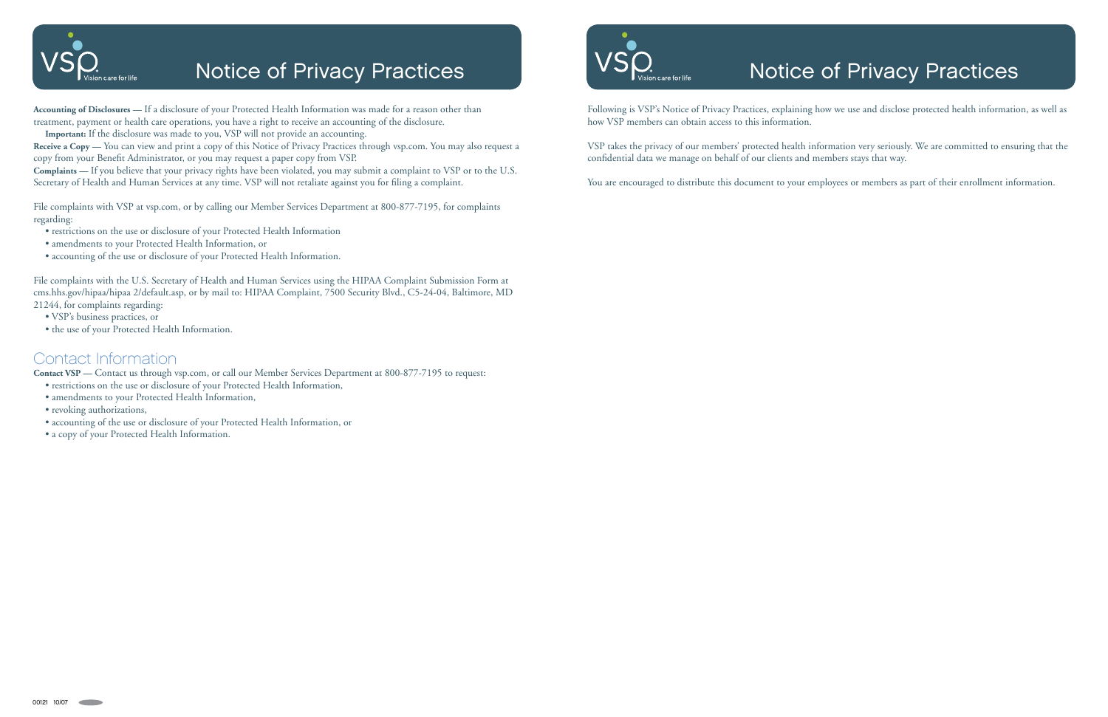

## Notice of Privacy Practices

# Notice of Privacy Practices

Following is VSP's Notice of Privacy Practices, explaining how we use and disclose protected health information, as well as how VSP members can obtain access to this information.

VSP takes the privacy of our members' protected health information very seriously. We are committed to ensuring that the confidential data we manage on behalf of our clients and members stays that way.

You are encouraged to distribute this document to your employees or members as part of their enrollment information.

**Accounting of Disclosures —** If a disclosure of your Protected Health Information was made for a reason other than treatment, payment or health care operations, you have a right to receive an accounting of the disclosure.

**Important:** If the disclosure was made to you, VSP will not provide an accounting.

**Receive a Copy —** You can view and print a copy of this Notice of Privacy Practices through vsp.com. You may also request a copy from your Benefit Administrator, or you may request a paper copy from VSP.

**Complaints —** If you believe that your privacy rights have been violated, you may submit a complaint to VSP or to the U.S. Secretary of Health and Human Services at any time. VSP will not retaliate against you for filing a complaint.

File complaints with VSP at vsp.com, or by calling our Member Services Department at 800-877-7195, for complaints regarding:

- restrictions on the use or disclosure of your Protected Health Information
- amendments to your Protected Health Information, or
- accounting of the use or disclosure of your Protected Health Information.

File complaints with the U.S. Secretary of Health and Human Services using the HIPAA Complaint Submission Form at cms.hhs.gov/hipaa/hipaa 2/default.asp, or by mail to: HIPAA Complaint, 7500 Security Blvd., C5-24-04, Baltimore, MD 21244, for complaints regarding:

- VSP's business practices, or
- the use of your Protected Health Information.

#### Contact Information

**Contact VSP —** Contact us through vsp.com, or call our Member Services Department at 800-877-7195 to request:

- restrictions on the use or disclosure of your Protected Health Information,
- amendments to your Protected Health Information,
- revoking authorizations,
- accounting of the use or disclosure of your Protected Health Information, or
- a copy of your Protected Health Information.